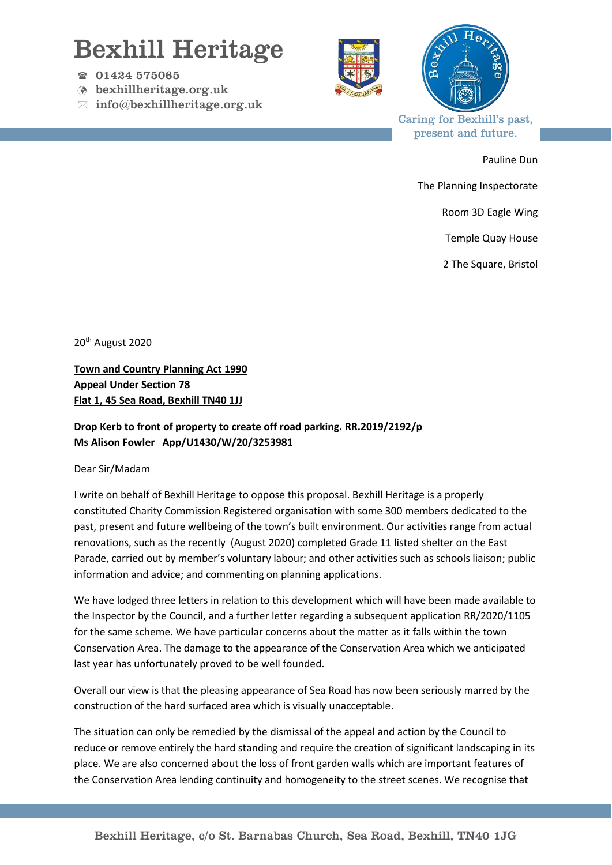## Bexhill Heritage

- 01424 575065
- bexhillheritage.org.uk
- $\boxtimes$  info@bexhillheritage.org.uk





Caring for Bexhill's past, present and future.

Pauline Dun

The Planning Inspectorate

Room 3D Eagle Wing

Temple Quay House

2 The Square, Bristol

20<sup>th</sup> August 2020

**Town and Country Planning Act 1990 Appeal Under Section 78 Flat 1, 45 Sea Road, Bexhill TN40 1JJ**

## **Drop Kerb to front of property to create off road parking. RR.2019/2192/p Ms Alison Fowler App/U1430/W/20/3253981**

## Dear Sir/Madam

I write on behalf of Bexhill Heritage to oppose this proposal. Bexhill Heritage is a properly constituted Charity Commission Registered organisation with some 300 members dedicated to the past, present and future wellbeing of the town's built environment. Our activities range from actual renovations, such as the recently (August 2020) completed Grade 11 listed shelter on the East Parade, carried out by member's voluntary labour; and other activities such as schools liaison; public information and advice; and commenting on planning applications.

We have lodged three letters in relation to this development which will have been made available to the Inspector by the Council, and a further letter regarding a subsequent application RR/2020/1105 for the same scheme. We have particular concerns about the matter as it falls within the town Conservation Area. The damage to the appearance of the Conservation Area which we anticipated last year has unfortunately proved to be well founded.

Overall our view is that the pleasing appearance of Sea Road has now been seriously marred by the construction of the hard surfaced area which is visually unacceptable.

The situation can only be remedied by the dismissal of the appeal and action by the Council to reduce or remove entirely the hard standing and require the creation of significant landscaping in its place. We are also concerned about the loss of front garden walls which are important features of the Conservation Area lending continuity and homogeneity to the street scenes. We recognise that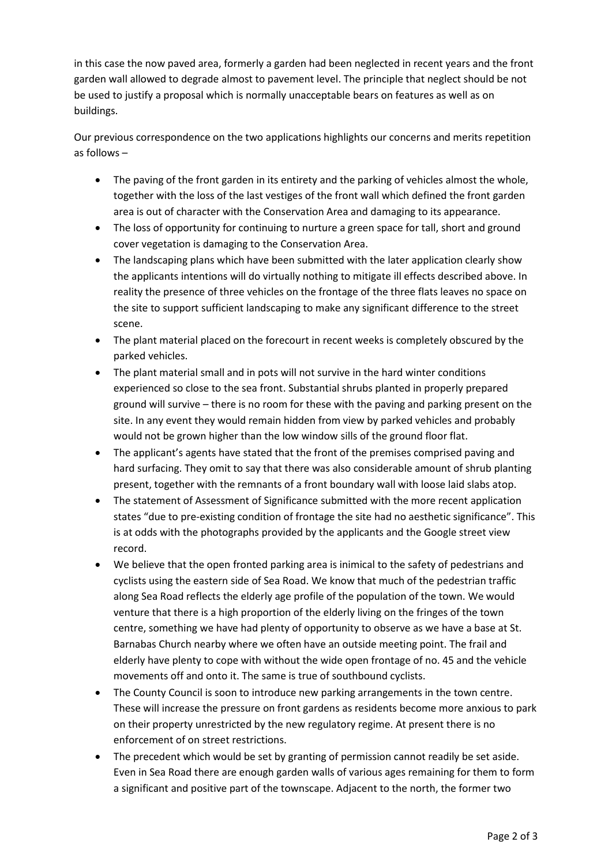in this case the now paved area, formerly a garden had been neglected in recent years and the front garden wall allowed to degrade almost to pavement level. The principle that neglect should be not be used to justify a proposal which is normally unacceptable bears on features as well as on buildings.

Our previous correspondence on the two applications highlights our concerns and merits repetition as follows –

- The paving of the front garden in its entirety and the parking of vehicles almost the whole, together with the loss of the last vestiges of the front wall which defined the front garden area is out of character with the Conservation Area and damaging to its appearance.
- The loss of opportunity for continuing to nurture a green space for tall, short and ground cover vegetation is damaging to the Conservation Area.
- The landscaping plans which have been submitted with the later application clearly show the applicants intentions will do virtually nothing to mitigate ill effects described above. In reality the presence of three vehicles on the frontage of the three flats leaves no space on the site to support sufficient landscaping to make any significant difference to the street scene.
- The plant material placed on the forecourt in recent weeks is completely obscured by the parked vehicles.
- The plant material small and in pots will not survive in the hard winter conditions experienced so close to the sea front. Substantial shrubs planted in properly prepared ground will survive – there is no room for these with the paving and parking present on the site. In any event they would remain hidden from view by parked vehicles and probably would not be grown higher than the low window sills of the ground floor flat.
- The applicant's agents have stated that the front of the premises comprised paving and hard surfacing. They omit to say that there was also considerable amount of shrub planting present, together with the remnants of a front boundary wall with loose laid slabs atop.
- The statement of Assessment of Significance submitted with the more recent application states "due to pre-existing condition of frontage the site had no aesthetic significance". This is at odds with the photographs provided by the applicants and the Google street view record.
- We believe that the open fronted parking area is inimical to the safety of pedestrians and cyclists using the eastern side of Sea Road. We know that much of the pedestrian traffic along Sea Road reflects the elderly age profile of the population of the town. We would venture that there is a high proportion of the elderly living on the fringes of the town centre, something we have had plenty of opportunity to observe as we have a base at St. Barnabas Church nearby where we often have an outside meeting point. The frail and elderly have plenty to cope with without the wide open frontage of no. 45 and the vehicle movements off and onto it. The same is true of southbound cyclists.
- The County Council is soon to introduce new parking arrangements in the town centre. These will increase the pressure on front gardens as residents become more anxious to park on their property unrestricted by the new regulatory regime. At present there is no enforcement of on street restrictions.
- The precedent which would be set by granting of permission cannot readily be set aside. Even in Sea Road there are enough garden walls of various ages remaining for them to form a significant and positive part of the townscape. Adjacent to the north, the former two